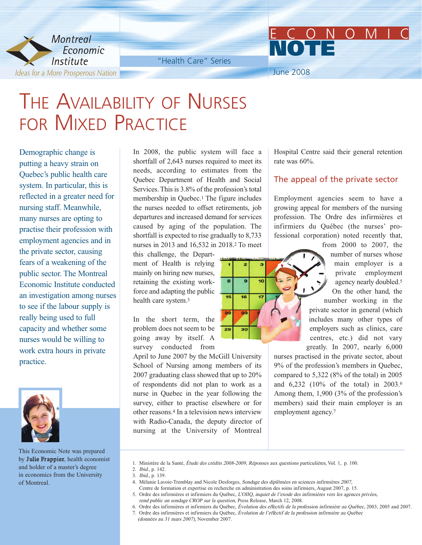

"Health Care" Series

June 2008

**NOTE**

# THE AVAILABILITY OF NURSES FOR MIXED PRACTICE

Demographic change is putting a heavy strain on Quebec's public health care system. In particular, this is reflected in a greater need for nursing staff. Meanwhile, many nurses are opting to practise their profession with employment agencies and in the private sector, causing fears of a weakening of the public sector. The Montreal Economic Institute conducted an investigation among nurses to see if the labour supply is really being used to full capacity and whether some nurses would be willing to work extra hours in private practice.



This Economic Note was prepared by Julie Frappier, health economist and holder of a master's degree in economics from the University of Montreal.

In 2008, the public system will face a shortfall of 2,643 nurses required to meet its needs, according to estimates from the Quebec Department of Health and Social Services. This is 3.8% of the profession's total membership in Quebec.1 The figure includes the nurses needed to offset retirements, job departures and increased demand for services caused by aging of the population. The shortfall is expected to rise gradually to 8,733 nurses in 2013 and 16,532 in 2018.2 To meet

this challenge, the Department of Health is relying mainly on hiring new nurses, retaining the existing workforce and adapting the public health care system.3

In the short term, the problem does not seem to be going away by itself. A survey conducted from

April to June 2007 by the McGill University School of Nursing among members of its 2007 graduating class showed that up to 20% of respondents did not plan to work as a nurse in Quebec in the year following the survey, either to practise elsewhere or for other reasons.4 In a television news interview with Radio-Canada, the deputy director of nursing at the University of Montreal

Hospital Centre said their general retention rate was 60%.

ECONOMIC

#### The appeal of the private sector

Employment agencies seem to have a growing appeal for members of the nursing profession. The Ordre des infirmières et infirmiers du Québec (the nurses' professional corporation) noted recently that,



from 2000 to 2007, the number of nurses whose main employer is a private employment agency nearly doubled.5 On the other hand, the number working in the private sector in general (which includes many other types of employers such as clinics, care centres, etc.) did not vary greatly. In 2007, nearly 6,000

nurses practised in the private sector, about 9% of the profession's members in Quebec, compared to 5,322 (8% of the total) in 2005 and 6,232 (10% of the total) in 2003.6 Among them, 1,900 (3% of the profession's members) said their main employer is an employment agency.7

1. Ministère de la Santé, Étude des crédits 2008-2009, Réponses aux questions particulières, Vol. 1, p. 100.

2. Ibid., p. 142.

- 3. Ibid., p. 139.
- 4. Mélanie Lavoie-Tremblay and Nicole Desforges, Sondage des diplômées en sciences infirmières 2007,
- Centre de formation et expertise en recherche en administration des soins infirmiers, August 2007, p. 15.
- 5. Ordre des infirmières et infirmiers du Québec, L'OIIQ, inquiet de l'exode des infirmières vers les agences privées, rend public un sondage CROP sur la question, Press Release, March 12, 2008.
- 6. Ordre des infirmières et infirmiers du Québec, Évolution des effectifs de la profession infirmière au Québec, 2003, 2005 and 2007.
- 7. Ordre des infirmières et infirmiers du Québec, Évolution de l'effectif de la profession infirmière au Québec

(données au 31 mars 2007), November 2007.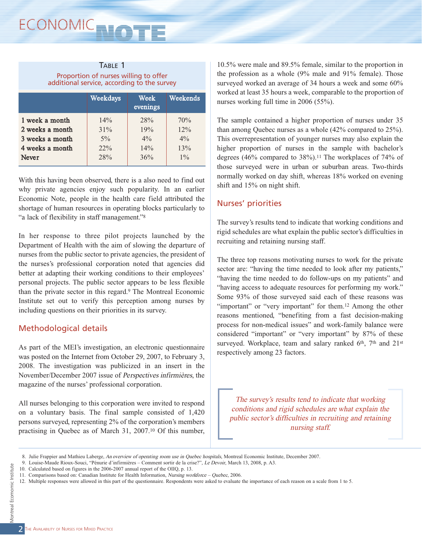| TABLE 1                                                                              |  |  |  |  |
|--------------------------------------------------------------------------------------|--|--|--|--|
| Proportion of nurses willing to offer<br>additional service, according to the survey |  |  |  |  |
|                                                                                      |  |  |  |  |

|                 | Weekdays | Week<br>evenings | <u> Weekends</u> |
|-----------------|----------|------------------|------------------|
| 1 week a month  | 14%      | 28%              | 70%              |
| 2 weeks a month | 31%      | 19%              | $12\%$           |
| 3 weeks a month | $5\%$    | $4\%$            | $4\%$            |
| 4 weeks a month | 22%      | 14%              | 13%              |
| Never           | 28%      | 36%              | $1\%$            |
|                 |          |                  |                  |

With this having been observed, there is a also need to find out why private agencies enjoy such popularity. In an earlier Economic Note, people in the health care field attributed the shortage of human resources in operating blocks particularly to "a lack of flexibility in staff management."8

In her response to three pilot projects launched by the Department of Health with the aim of slowing the departure of nurses from the public sector to private agencies, the president of the nurses's professional corporation noted that agencies did better at adapting their working conditions to their employees' personal projects. The public sector appears to be less flexible than the private sector in this regard.9 The Montreal Economic Institute set out to verify this perception among nurses by including questions on their priorities in its survey.

## Methodological details

As part of the MEI's investigation, an electronic questionnaire was posted on the Internet from October 29, 2007, to February 3, 2008. The investigation was publicized in an insert in the November/December 2007 issue of Perspectives infirmières, the magazine of the nurses' professional corporation.

All nurses belonging to this corporation were invited to respond on a voluntary basis. The final sample consisted of 1,420 persons surveyed, representing 2% of the corporation's members practising in Quebec as of March 31, 2007.10 Of this number,

10.5% were male and 89.5% female, similar to the proportion in the profession as a whole (9% male and 91% female). Those surveyed worked an average of 34 hours a week and some 60% worked at least 35 hours a week, comparable to the proportion of nurses working full time in 2006 (55%).

The sample contained a higher proportion of nurses under 35 than among Quebec nurses as a whole (42% compared to 25%). This overrepresentation of younger nurses may also explain the higher proportion of nurses in the sample with bachelor's degrees (46% compared to  $38\%$ ).<sup>11</sup> The workplaces of 74% of those surveyed were in urban or suburban areas. Two-thirds normally worked on day shift, whereas 18% worked on evening shift and 15% on night shift.

### Nurses' priorities

The survey's results tend to indicate that working conditions and rigid schedules are what explain the public sector's difficulties in recruiting and retaining nursing staff.

The three top reasons motivating nurses to work for the private sector are: "having the time needed to look after my patients," "having the time needed to do follow-ups on my patients" and "having access to adequate resources for performing my work." Some 93% of those surveyed said each of these reasons was "important" or "very important" for them.<sup>12</sup> Among the other reasons mentioned, "benefiting from a fast decision-making process for non-medical issues" and work-family balance were considered "important" or "very important" by 87% of these surveyed. Workplace, team and salary ranked 6th, 7th and 21st respectively among 23 factors.

The survey's results tend to indicate that working conditions and rigid schedules are what explain the public sector's difficulties in recruiting and retaining nursing staff.

<sup>9.</sup> Louise-Maude Rioux-Souci, "Pénurie d'infirmières – Comment sortir de la crise?", Le Devoir, March 13, 2008, p. A3.

<sup>10.</sup> Calculated based on figures in the 2006-2007 annual report of the OIIQ, p. 13.

<sup>11.</sup> Comparisons based on: Canadian Institute for Health Information, Nursing workforce – Quebec, 2006.

<sup>12.</sup> Multiple responses were allowed in this part of the questionnaire. Respondents were asked to evaluate the importance of each reason on a scale from 1 to 5.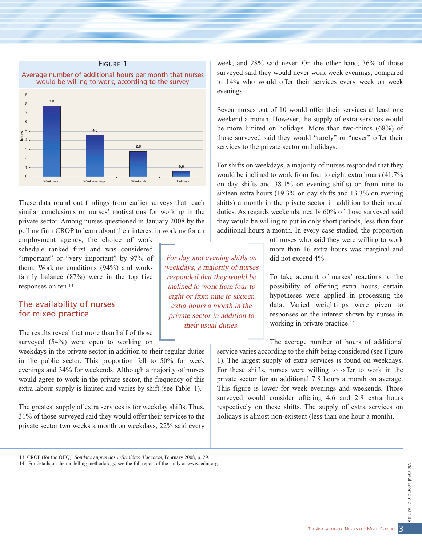

These data round out findings from earlier surveys that reach similar conclusions on nurses' motivations for working in the private sector. Among nurses questioned in January 2008 by the polling firm CROP to learn about their interest in working for an

employment agency, the choice of work schedule ranked first and was considered "important" or "very important" by 97% of them. Working conditions (94%) and workfamily balance (87%) were in the top five responses on ten.13

#### The availability of nurses for mixed practice

The results reveal that more than half of those surveyed (54%) were open to working on

weekdays in the private sector in addition to their regular duties in the public sector. This proportion fell to 50% for week evenings and 34% for weekends. Although a majority of nurses would agree to work in the private sector, the frequency of this extra labour supply is limited and varies by shift (see Table 1).

The greatest supply of extra services is for weekday shifts. Thus, 31% of those surveyed said they would offer their services to the private sector two weeks a month on weekdays, 22% said every

For day and evening shifts on weekdays, a majority of nurses responded that they would be inclined to work from four to eight or from nine to sixteen extra hours a month in the private sector in addition to their usual duties.

week, and 28% said never. On the other hand, 36% of those surveyed said they would never work week evenings, compared to 14% who would offer their services every week on week evenings.

Seven nurses out of 10 would offer their services at least one weekend a month. However, the supply of extra services would be more limited on holidays. More than two-thirds (68%) of those surveyed said they would "rarely" or "never" offer their services to the private sector on holidays.

For shifts on weekdays, a majority of nurses responded that they would be inclined to work from four to eight extra hours (41.7% on day shifts and 38.1% on evening shifts) or from nine to sixteen extra hours (19.3% on day shifts and 13.3% on evening shifts) a month in the private sector in addition to their usual duties. As regards weekends, nearly 60% of those surveyed said they would be willing to put in only short periods, less than four additional hours a month. In every case studied, the proportion

> of nurses who said they were willing to work more than 16 extra hours was marginal and did not exceed 4%.

> To take account of nurses' reactions to the possibility of offering extra hours, certain hypotheses were applied in processing the data. Varied weightings were given to responses on the interest shown by nurses in working in private practice.14

The average number of hours of additional service varies according to the shift being considered (see Figure 1). The largest supply of extra services is found on weekdays. For these shifts, nurses were willing to offer to work in the private sector for an additional 7.8 hours a month on average. This figure is lower for week evenings and weekends. Those surveyed would consider offering 4.6 and 2.8 extra hours respectively on these shifts. The supply of extra services on holidays is almost non-existent (less than one hour a month).

<sup>13.</sup> CROP (for the OIIQ), Sondage auprès des infirmières d'agences, February 2008, p. 29.

<sup>14.</sup> For details on the modelling methodology, see the full report of the study at www.iedm.org.